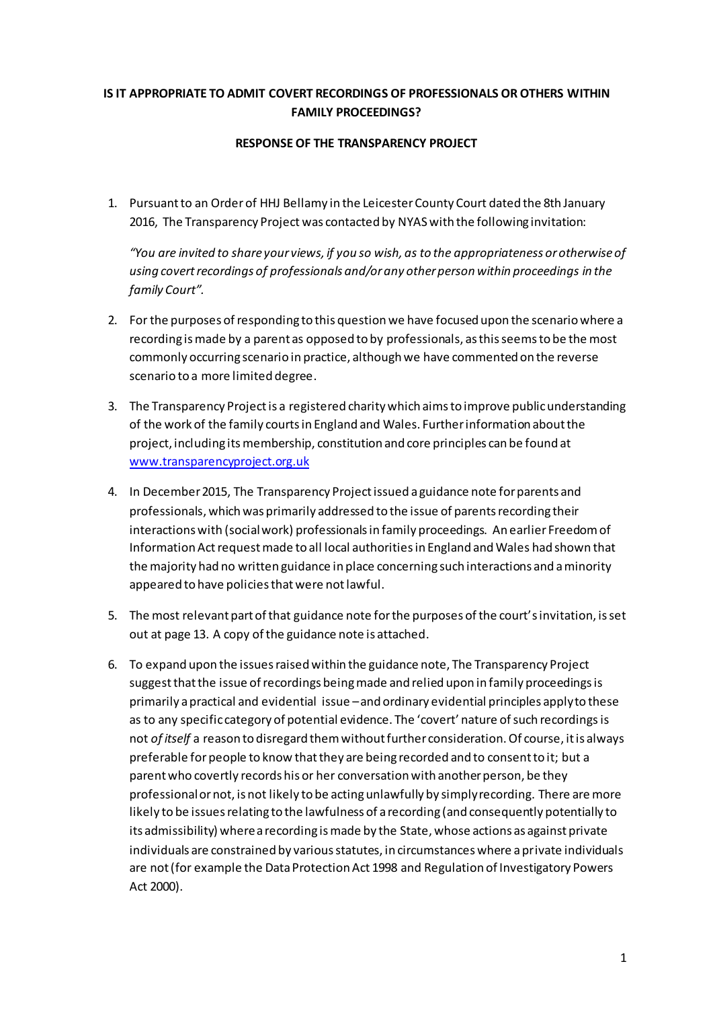## **IS IT APPROPRIATE TO ADMIT COVERT RECORDINGS OF PROFESSIONALS OR OTHERS WITHIN FAMILY PROCEEDINGS?**

## **RESPONSE OF THE TRANSPARENCY PROJECT**

1. Pursuant to an Order of HHJ Bellamy in the Leicester County Court dated the 8th January 2016, The Transparency Project was contacted by NYAS with the following invitation:

*"You are invited to share your views, if you so wish, as to the appropriateness or otherwise of using covert recordings of professionals and/or any other person within proceedings in the family Court".*

- 2. For the purposes of responding to this question we have focused upon the scenario where a recording is made by a parent as opposed to by professionals, as this seems to be the most commonly occurring scenario in practice, although we have commented on the reverse scenario to a more limited degree.
- 3. The Transparency Project is a registered charity which aims to improve public understanding of the work of the family courts in England and Wales. Further information about the project, including its membership, constitution and core principles can be found at [www.transparencyproject.org.uk](http://www.transparencyproject.org.uk/)
- 4. In December 2015, The Transparency Project issued a guidance note for parents and professionals, which was primarily addressed to the issue of parents recording their interactions with (social work) professionals in family proceedings. An earlier Freedom of Information Act request made to all local authorities in England and Wales had shown that the majority had no written guidance in place concerning such interactions and a minority appeared to have policies that were not lawful.
- 5. The most relevant part of that guidance note for the purposes of the court's invitation, is set out at page 13. A copy of the guidance note is attached.
- 6. To expand upon the issues raised within the guidance note, The Transparency Project suggest that the issue of recordings being made and relied upon in family proceedings is primarily a practical and evidential issue – and ordinary evidential principles apply to these as to any specific category of potential evidence. The 'covert' nature of such recordings is not *of itself* a reason to disregard them without further consideration. Of course, it is always preferable for people to know that they are being recorded and to consent to it; but a parent who covertly records his or her conversation with another person, be they professional or not, is not likely to be acting unlawfully by simply recording. There are more likely to be issues relating to the lawfulness of a recording (and consequently potentially to its admissibility) where a recording is made by the State, whose actions as against private individuals are constrained by various statutes, in circumstances where a private individuals are not (for example the Data Protection Act 1998 and Regulation of Investigatory Powers Act 2000).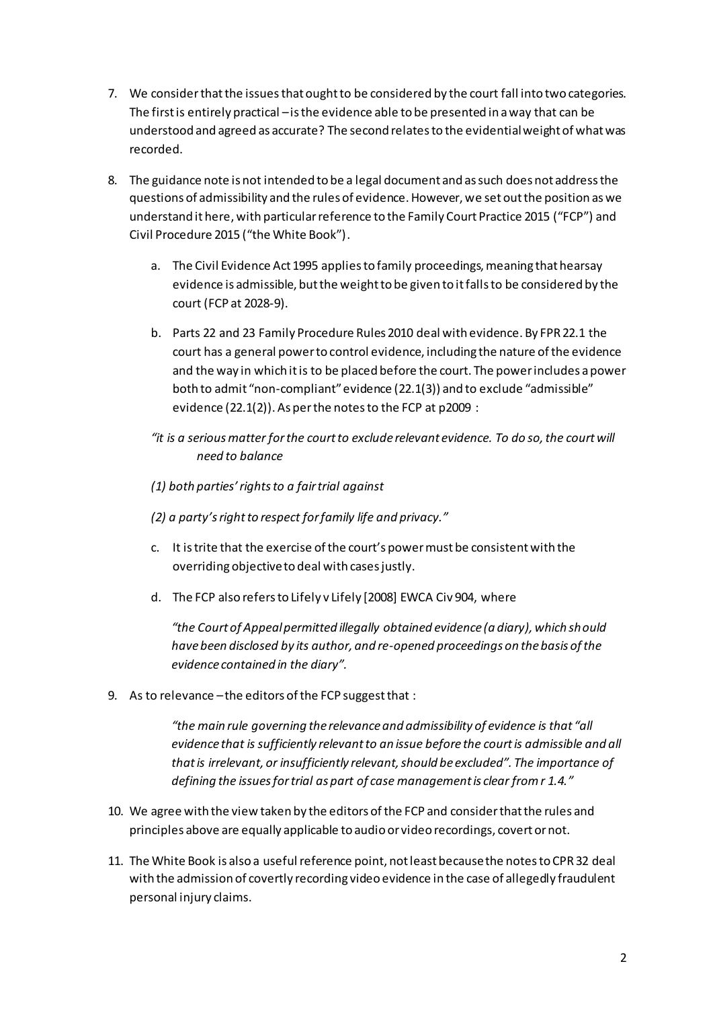- 7. We consider that the issues that ought to be considered by the court fall into two categories. The first is entirely practical – is the evidence able to be presented in a way that can be understood and agreed as accurate? The second relates to the evidential weight of what was recorded.
- 8. The guidance note is not intended to be a legal document and as such does not address the questions of admissibility and the rules of evidence. However, we set out the position as we understand it here, with particular reference to the Family Court Practice 2015 ("FCP") and Civil Procedure 2015 ("the White Book").
	- a. The Civil Evidence Act 1995 applies to family proceedings, meaning that hearsay evidence is admissible, but the weight to be given to it falls to be considered by the court (FCP at 2028-9).
	- b. Parts 22 and 23 Family Procedure Rules 2010 deal with evidence. By FPR 22.1 the court has a general power to control evidence, including the nature of the evidence and the way in which it is to be placed before the court. The power includes a power both to admit "non-compliant" evidence (22.1(3)) and to exclude "admissible" evidence (22.1(2)). As per the notes to the FCP at p2009 :
	- *"it is a serious matter for the court to exclude relevant evidence. To do so, the court will need to balance*
	- *(1) both parties' rights to a fair trial against*
	- *(2) a party's right to respect for family life and privacy."*
	- c. It is trite that the exercise of the court's power must be consistent with the overriding objective to deal with cases justly.
	- d. The FCP also refers to Lifely v Lifely [2008] EWCA Civ 904, where

*"the Court of Appeal permitted illegally obtained evidence (a diary), which should have been disclosed by its author, and re-opened proceedings on the basis of the evidence contained in the diary".*

9. As to relevance – the editors of the FCP suggest that :

*"the main rule governing the relevance and admissibility of evidence is that "all evidence that is sufficiently relevant to an issue before the court is admissible and all that is irrelevant, or insufficiently relevant, should be excluded". The importance of defining the issues for trial as part of case management is clear from r 1.4."*

- 10. We agree with the view taken by the editors of the FCP and consider that the rules and principles above are equally applicable to audio or video recordings, covert or not.
- 11. The White Book is also a useful reference point, not least because the notes to CPR 32 deal with the admission of covertly recording video evidence in the case of allegedly fraudulent personal injury claims.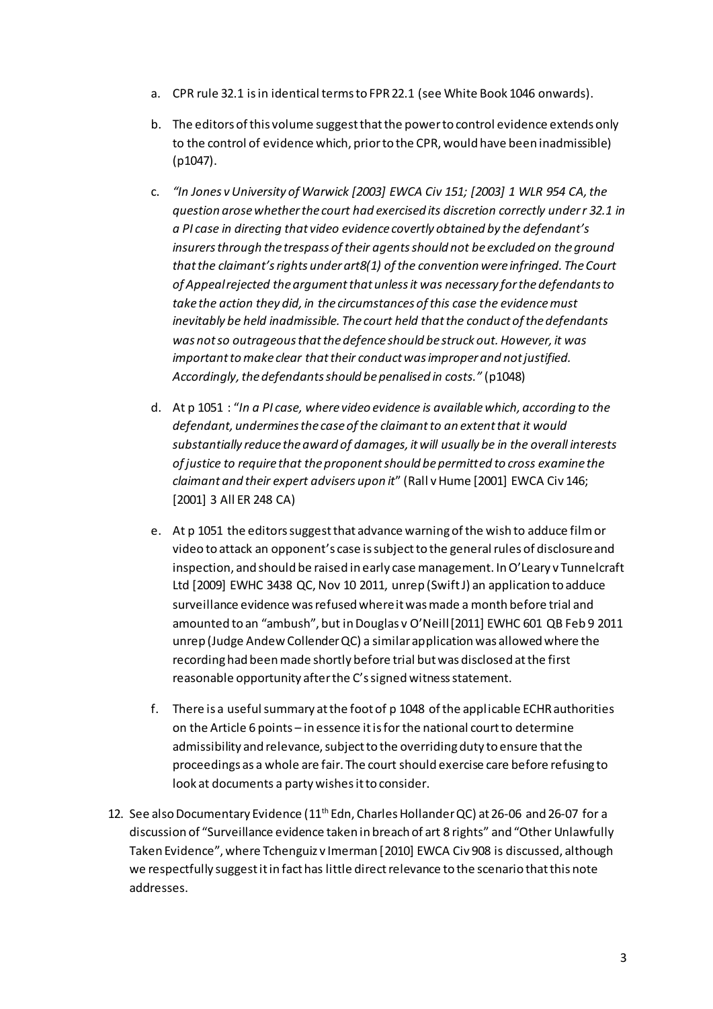- a. CPR rule 32.1 is in identical terms to FPR 22.1 (see White Book 1046 onwards).
- b. The editors of this volume suggest that the power to control evidence extends only to the control of evidence which, prior to the CPR, would have been inadmissible) (p1047).
- c. *"In Jones v University of Warwick [2003] EWCA Civ 151; [2003] 1 WLR 954 CA, the question arose whether the court had exercised its discretion correctly under r 32.1 in a PI case in directing that video evidence covertly obtained by the defendant's insurers through the trespass of their agents should not be excluded on the ground that the claimant's rights under art8(1) of the convention were infringed. The Court of Appeal rejected the argument that unless it was necessary for the defendants to take the action they did, in the circumstances of this case the evidence must inevitably be held inadmissible. The court held that the conduct of the defendants was not so outrageous that the defence should be struck out. However, it was important to make clear that their conduct was improper and not justified. Accordingly, the defendants should be penalised in costs."* (p1048)
- d. At p 1051 : "*In a PI case, where video evidence is available which, according to the defendant, undermines the case of the claimant to an extent that it would substantially reduce the award of damages, it will usually be in the overall interests of justice to require that the proponent should be permitted to cross examine the claimant and their expert advisers upon it*" (Rall v Hume [2001] EWCA Civ 146; [2001] 3 All ER 248 CA)
- e. At p 1051 the editors suggest that advance warning of the wish to adduce film or video to attack an opponent's case is subject to the general rules of disclosure and inspection, and should be raised in early case management. In O'Leary v Tunnelcraft Ltd [2009] EWHC 3438 QC, Nov 10 2011, unrep (Swift J) an application to adduce surveillance evidence was refused where it was made a month before trial and amounted to an "ambush", but in Douglas v O'Neill [2011] EWHC 601 QB Feb 9 2011 unrep (Judge Andew Collender QC) a similar application was allowed where the recording had been made shortly before trial but was disclosed at the first reasonable opportunity after the C's signed witness statement.
- f. There is a useful summary at the foot of p 1048 of the applicable ECHR authorities on the Article 6 points – in essence it is for the national court to determine admissibility and relevance, subject to the overriding duty to ensure that the proceedings as a whole are fair. The court should exercise care before refusing to look at documents a party wishes it to consider.
- 12. See also Documentary Evidence  $(11^{th}$  Edn, Charles Hollander QC) at 26-06 and 26-07 for a discussion of "Surveillance evidence taken in breach of art 8 rights" and "Other Unlawfully Taken Evidence", where Tchenguiz v Imerman [2010] EWCA Civ 908 is discussed, although we respectfully suggest it in fact has little direct relevance to the scenario that this note addresses.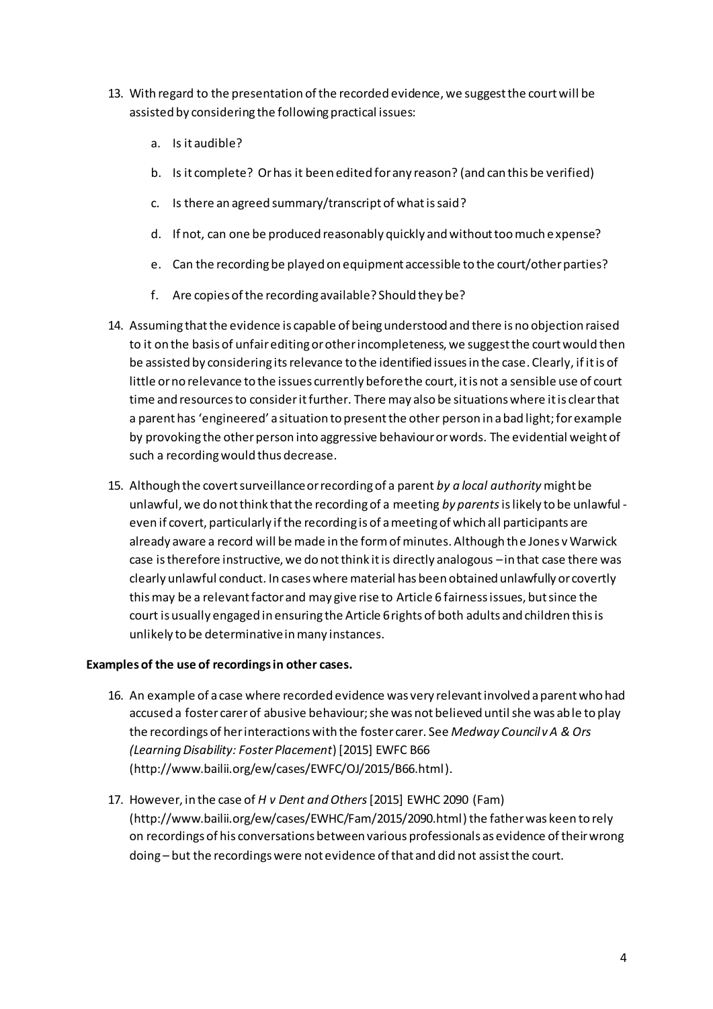- 13. With regard to the presentation of the recorded evidence, we suggest the court will be assisted by considering the following practical issues:
	- a. Is it audible?
	- b. Is it complete? Or has it been edited for any reason? (and can this be verified)
	- c. Is there an agreed summary/transcript of what is said?
	- d. If not, can one be produced reasonably quickly and without too much e xpense?
	- e. Can the recording be played on equipment accessible to the court/other parties?
	- f. Are copies of the recording available? Should they be?
- 14. Assuming that the evidence is capable of being understood and there is no objection raised to it on the basis of unfair editing or other incompleteness, we suggest the court would then be assisted by considering its relevance to the identified issues in the case. Clearly, if it is of little or no relevance to the issues currently before the court, it is not a sensible use of court time and resources to consider it further. There may also be situations where it is clear that a parent has 'engineered' a situation to present the other person in a bad light; for example by provoking the other person into aggressive behaviour or words. The evidential weight of such a recording would thus decrease.
- 15. Although the covert surveillance or recording of a parent *by a local authority* might be unlawful, we do not think that the recording of a meeting *by parents* is likely to be unlawful even if covert, particularly if the recording is of a meeting of which all participants are already aware a record will be made in the form of minutes. Although the Jones v Warwick case is therefore instructive, we do not think it is directly analogous – in that case there was clearly unlawful conduct. In cases where material has been obtained unlawfully or covertly this may be a relevant factor and may give rise to Article 6 fairness issues, but since the court is usually engaged in ensuring the Article 6 rights of both adults and children this is unlikely to be determinative in many instances.

## **Examples of the use of recordings in other cases.**

- 16. An example of a case where recorded evidence was very relevant involved a parent who had accused a foster carer of abusive behaviour; she was not believed until she was able to play the recordings of her interactions with the foster carer. See *Medway Council v A & Ors (Learning Disability: Foster Placement*) [2015] EWFC B66 (http://www.bailii.org/ew/cases/EWFC/OJ/2015/B66.html).
- 17. However, in the case of *H v Dent and Others* [2015] EWHC 2090 (Fam) (http://www.bailii.org/ew/cases/EWHC/Fam/2015/2090.html) the father was keen to rely on recordings of his conversations between various professionals as evidence of their wrong doing – but the recordings were not evidence of that and did not assist the court.